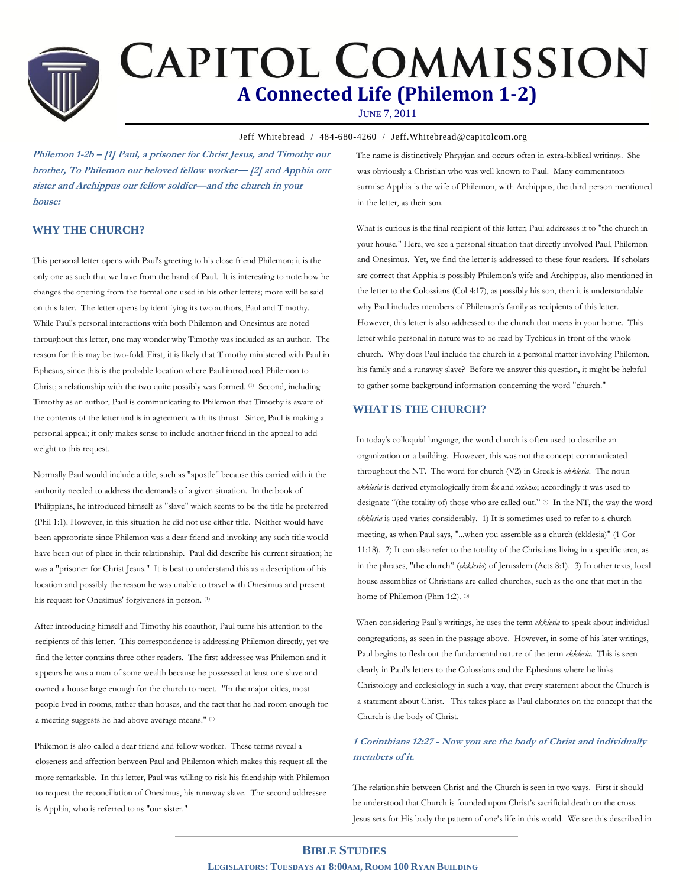# **CAPITOL COMMISSION A Connected Life (Philemon 1-2)**

JUNE 7, 2011

Jeff Whitebread / 484-680-4260 / Jeff.Whitebread@capitolcom.org

**Philemon 1-2b – [1] Paul, a prisoner for Christ Jesus, and Timothy our brother, To Philemon our beloved fellow worker— [2] and Apphia our sister and Archippus our fellow soldier—and the church in your house:** 

#### **WHY THE CHURCH?**

This personal letter opens with Paul's greeting to his close friend Philemon; it is the only one as such that we have from the hand of Paul. It is interesting to note how he changes the opening from the formal one used in his other letters; more will be said on this later. The letter opens by identifying its two authors, Paul and Timothy. While Paul's personal interactions with both Philemon and Onesimus are noted throughout this letter, one may wonder why Timothy was included as an author. The reason for this may be two-fold. First, it is likely that Timothy ministered with Paul in Ephesus, since this is the probable location where Paul introduced Philemon to Christ; a relationship with the two quite possibly was formed. (1) Second, including Timothy as an author, Paul is communicating to Philemon that Timothy is aware of the contents of the letter and is in agreement with its thrust. Since, Paul is making a personal appeal; it only makes sense to include another friend in the appeal to add weight to this request.

Normally Paul would include a title, such as "apostle" because this carried with it the authority needed to address the demands of a given situation. In the book of Philippians, he introduced himself as "slave" which seems to be the title he preferred (Phil 1:1). However, in this situation he did not use either title. Neither would have been appropriate since Philemon was a dear friend and invoking any such title would have been out of place in their relationship. Paul did describe his current situation; he was a "prisoner for Christ Jesus." It is best to understand this as a description of his location and possibly the reason he was unable to travel with Onesimus and present his request for Onesimus' forgiveness in person. (1)

After introducing himself and Timothy his coauthor, Paul turns his attention to the recipients of this letter. This correspondence is addressing Philemon directly, yet we find the letter contains three other readers. The first addressee was Philemon and it appears he was a man of some wealth because he possessed at least one slave and owned a house large enough for the church to meet. "In the major cities, most people lived in rooms, rather than houses, and the fact that he had room enough for a meeting suggests he had above average means." (1)

Philemon is also called a dear friend and fellow worker. These terms reveal a closeness and affection between Paul and Philemon which makes this request all the more remarkable. In this letter, Paul was willing to risk his friendship with Philemon to request the reconciliation of Onesimus, his runaway slave. The second addressee is Apphia, who is referred to as "our sister."

The name is distinctively Phrygian and occurs often in extra-biblical writings. She was obviously a Christian who was well known to Paul. Many commentators surmise Apphia is the wife of Philemon, with Archippus, the third person mentioned in the letter, as their son.

What is curious is the final recipient of this letter; Paul addresses it to "the church in your house." Here, we see a personal situation that directly involved Paul, Philemon and Onesimus. Yet, we find the letter is addressed to these four readers. If scholars are correct that Apphia is possibly Philemon's wife and Archippus, also mentioned in the letter to the Colossians (Col 4:17), as possibly his son, then it is understandable why Paul includes members of Philemon's family as recipients of this letter. However, this letter is also addressed to the church that meets in your home. This letter while personal in nature was to be read by Tychicus in front of the whole church. Why does Paul include the church in a personal matter involving Philemon, his family and a runaway slave? Before we answer this question, it might be helpful to gather some background information concerning the word "church."

#### **WHAT IS THE CHURCH?**

In today's colloquial language, the word church is often used to describe an organization or a building. However, this was not the concept communicated throughout the NT. The word for church (V2) in Greek is *ekklesia*. The noun *ekklesia* is derived etymologically from ἐκ and καλέω; accordingly it was used to designate "(the totality of) those who are called out." <sup>(2)</sup> In the NT, the way the word *ekklesia* is used varies considerably. 1) It is sometimes used to refer to a church meeting, as when Paul says, "...when you assemble as a church (ekklesia)" (1 Cor 11:18). 2) It can also refer to the totality of the Christians living in a specific area, as in the phrases, "the church" (*ekklesia*) of Jerusalem (Acts 8:1). 3) In other texts, local house assemblies of Christians are called churches, such as the one that met in the home of Philemon (Phm 1:2). (3)

When considering Paul's writings, he uses the term *ekklesia* to speak about individual congregations, as seen in the passage above. However, in some of his later writings, Paul begins to flesh out the fundamental nature of the term *ekklesia*. This is seen clearly in Paul's letters to the Colossians and the Ephesians where he links Christology and ecclesiology in such a way, that every statement about the Church is a statement about Christ. This takes place as Paul elaborates on the concept that the Church is the body of Christ.

### **1 Corinthians 12:27 - Now you are the body of Christ and individually members of it.**

The relationship between Christ and the Church is seen in two ways. First it should be understood that Church is founded upon Christ's sacrificial death on the cross. Jesus sets for His body the pattern of one's life in this world. We see this described in